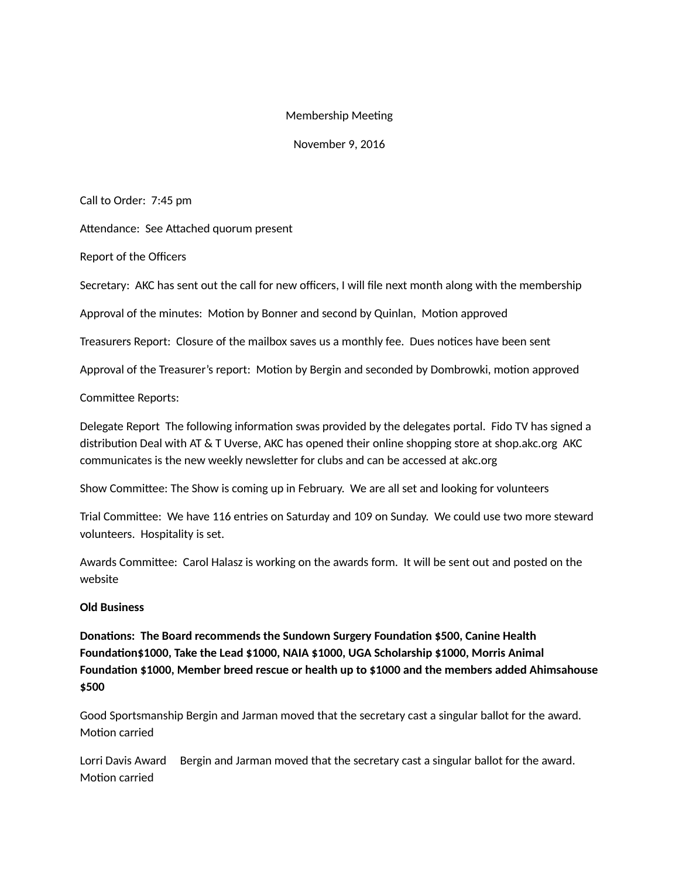## Membership Meeting

November 9, 2016

Call to Order: 7:45 pm

Attendance: See Attached quorum present

Report of the Officers

Secretary: AKC has sent out the call for new officers, I will file next month along with the membership

Approval of the minutes: Motion by Bonner and second by Quinlan, Motion approved

Treasurers Report: Closure of the mailbox saves us a monthly fee. Dues notices have been sent

Approval of the Treasurer's report: Motion by Bergin and seconded by Dombrowki, motion approved

Committee Reports:

Delegate Report The following information swas provided by the delegates portal. Fido TV has signed a distribution Deal with AT & T Uverse, AKC has opened their online shopping store at shop.akc.org AKC communicates is the new weekly newsletter for clubs and can be accessed at akc.org

Show Committee: The Show is coming up in February. We are all set and looking for volunteers

Trial Committee: We have 116 entries on Saturday and 109 on Sunday. We could use two more steward volunteers. Hospitality is set.

Awards Committee: Carol Halasz is working on the awards form. It will be sent out and posted on the website

## **Old Business**

**Donations: The Board recommends the Sundown Surgery Foundation \$500, Canine Health Foundation\$1000, Take the Lead \$1000, NAIA \$1000, UGA Scholarship \$1000, Morris Animal Foundation \$1000, Member breed rescue or health up to \$1000 and the members added Ahimsahouse \$500**

Good Sportsmanship Bergin and Jarman moved that the secretary cast a singular ballot for the award. Motion carried

Lorri Davis Award Bergin and Jarman moved that the secretary cast a singular ballot for the award. Motion carried